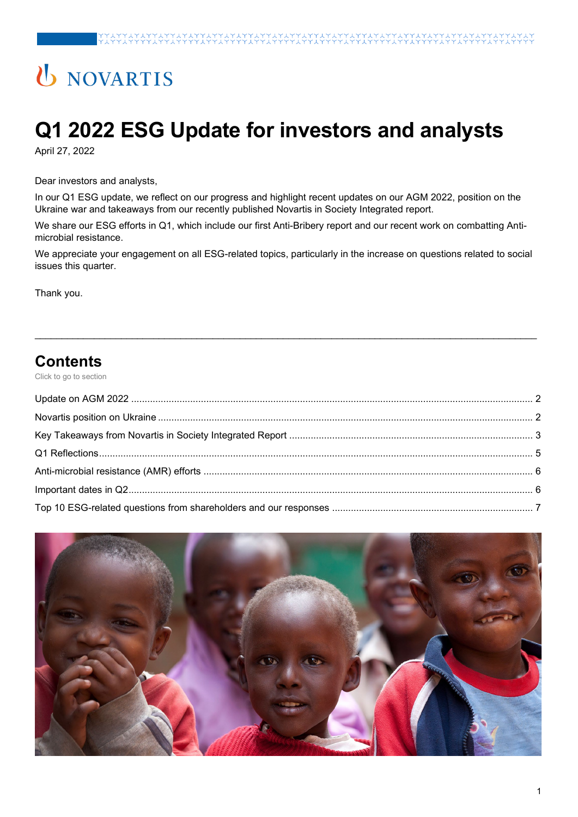# U NOVARTIS

# **Q1 2022 ESG Update for investors and analysts**

April 27, 2022

Dear investors and analysts,

In our Q1 ESG update, we reflect on our progress and highlight recent updates on our AGM 2022, position on the Ukraine war and takeaways from our recently published Novartis in Society Integrated report.

We share our ESG efforts in Q1, which include our first Anti-Bribery report and our recent work on combatting Antimicrobial resistance.

We appreciate your engagement on all ESG-related topics, particularly in the increase on questions related to social issues this quarter.

\_\_\_\_\_\_\_\_\_\_\_\_\_\_\_\_\_\_\_\_\_\_\_\_\_\_\_\_\_\_\_\_\_\_\_\_\_\_\_\_\_\_\_\_\_\_\_\_\_\_\_\_\_\_\_\_\_\_\_\_\_\_\_\_\_\_\_\_\_\_\_\_\_\_\_\_\_\_\_\_\_\_\_\_\_\_\_\_\_\_\_\_\_

Thank you.

### **Contents**

Click to go to section

<span id="page-0-0"></span>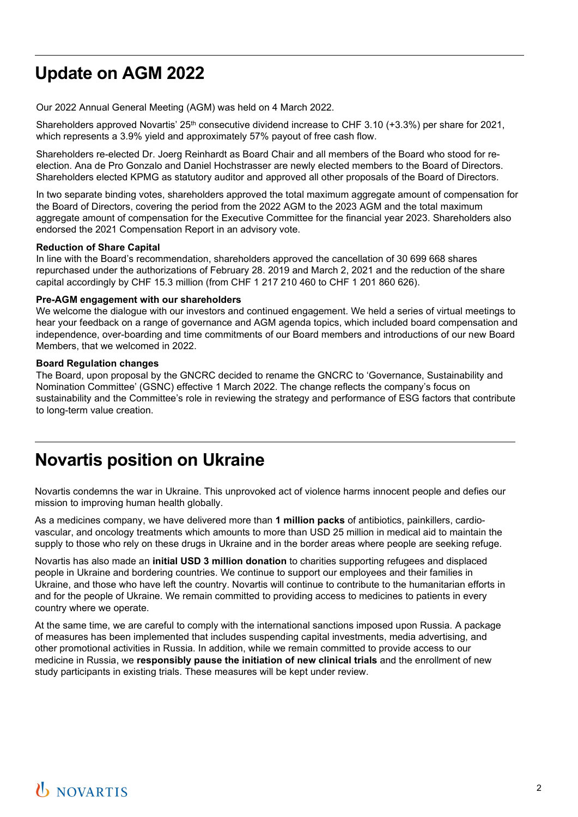# **Update on AGM 2022**

Our 2022 Annual General Meeting (AGM) was held on 4 March 2022.

Shareholders approved Novartis'  $25<sup>th</sup>$  consecutive dividend increase to CHF 3.10 (+3.3%) per share for 2021, which represents a 3.9% yield and approximately 57% payout of free cash flow.

Shareholders re-elected Dr. Joerg Reinhardt as Board Chair and all members of the Board who stood for reelection. Ana de Pro Gonzalo and Daniel Hochstrasser are newly elected members to the Board of Directors. Shareholders elected KPMG as statutory auditor and approved all other proposals of the Board of Directors.

In two separate binding votes, shareholders approved the total maximum aggregate amount of compensation for the Board of Directors, covering the period from the 2022 AGM to the 2023 AGM and the total maximum aggregate amount of compensation for the Executive Committee for the financial year 2023. Shareholders also endorsed the 2021 Compensation Report in an advisory vote.

#### **Reduction of Share Capital**

In line with the Board's recommendation, shareholders approved the cancellation of 30 699 668 shares repurchased under the authorizations of February 28. 2019 and March 2, 2021 and the reduction of the share capital accordingly by CHF 15.3 million (from CHF 1 217 210 460 to CHF 1 201 860 626).

#### **Pre-AGM engagement with our shareholders**

We welcome the dialogue with our investors and continued engagement. We held a series of virtual meetings to hear your feedback on a range of governance and AGM agenda topics, which included board compensation and independence, over-boarding and time commitments of our Board members and introductions of our new Board Members, that we welcomed in 2022.

#### **Board Regulation changes**

The Board, upon proposal by the GNCRC decided to rename the GNCRC to 'Governance, Sustainability and Nomination Committee' (GSNC) effective 1 March 2022. The change reflects the company's focus on sustainability and the Committee's role in reviewing the strategy and performance of ESG factors that contribute to long-term value creation.

### <span id="page-1-1"></span><span id="page-1-0"></span>**Novartis position on Ukraine**

Novartis condemns the war in Ukraine. This unprovoked act of violence harms innocent people and defies our mission to improving human health globally.

As a medicines company, we have delivered more than **1 million packs** of antibiotics, painkillers, cardiovascular, and oncology treatments which amounts to more than USD 25 million in medical aid to maintain the supply to those who rely on these drugs in Ukraine and in the border areas where people are seeking refuge.

Novartis has also made an **initial USD 3 million donation** to charities supporting refugees and displaced people in Ukraine and bordering countries. We continue to support our employees and their families in Ukraine, and those who have left the country. Novartis will continue to contribute to the humanitarian efforts in and for the people of Ukraine. We remain committed to providing access to medicines to patients in every country where we operate.

At the same time, we are careful to comply with the international sanctions imposed upon Russia. A package of measures has been implemented that includes suspending capital investments, media advertising, and other promotional activities in Russia. In addition, while we remain committed to provide access to our medicine in Russia, we **responsibly pause the initiation of new clinical trials** and the enrollment of new study participants in existing trials. These measures will be kept under review.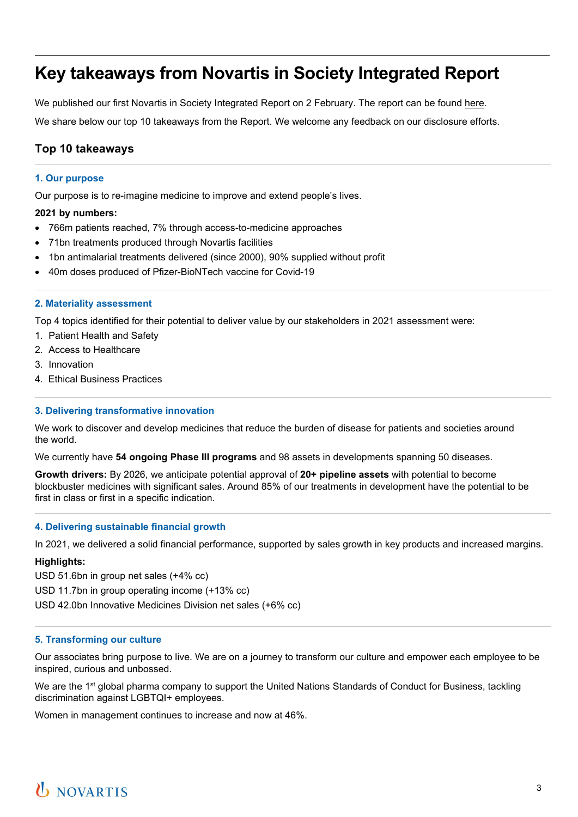## **Key takeaways from Novartis in Society Integrated Report**

We published our first Novartis in Society Integrated Report on 2 February. The report can be found [here.](https://www.novartis.com/sites/novartis_com/files/novartis-integrated-report-2021.pdf) We share below our top 10 takeaways from the Report. We welcome any feedback on our disclosure efforts.

#### **Top 10 takeaways**

#### **1. Our purpose**

Our purpose is to re-imagine medicine to improve and extend people's lives.

#### **2021 by numbers:**

- 766m patients reached, 7% through access-to-medicine approaches
- 71bn treatments produced through Novartis facilities
- 1bn antimalarial treatments delivered (since 2000), 90% supplied without profit
- 40m doses produced of Pfizer-BioNTech vaccine for Covid-19

#### **2. Materiality assessment**

Top 4 topics identified for their potential to deliver value by our stakeholders in 2021 assessment were:

- 1. Patient Health and Safety
- 2. Access to Healthcare
- 3. Innovation
- 4. Ethical Business Practices

#### **3. Delivering transformative innovation**

We work to discover and develop medicines that reduce the burden of disease for patients and societies around the world.

We currently have **54 ongoing Phase III programs** and 98 assets in developments spanning 50 diseases.

**Growth drivers:** By 2026, we anticipate potential approval of **20+ pipeline assets** with potential to become blockbuster medicines with significant sales. Around 85% of our treatments in development have the potential to be first in class or first in a specific indication.

#### **4. Delivering sustainable financial growth**

In 2021, we delivered a solid financial performance, supported by sales growth in key products and increased margins.

#### **Highlights:**

USD 51.6bn in group net sales (+4% cc)

USD 11.7bn in group operating income (+13% cc)

USD 42.0bn Innovative Medicines Division net sales (+6% cc)

#### **5. Transforming our culture**

Our associates bring purpose to live. We are on a journey to transform our culture and empower each employee to be inspired, curious and unbossed.

We are the 1<sup>st</sup> global pharma company to support the United Nations Standards of Conduct for Business, tackling discrimination against LGBTQI+ employees.

Women in management continues to increase and now at 46%.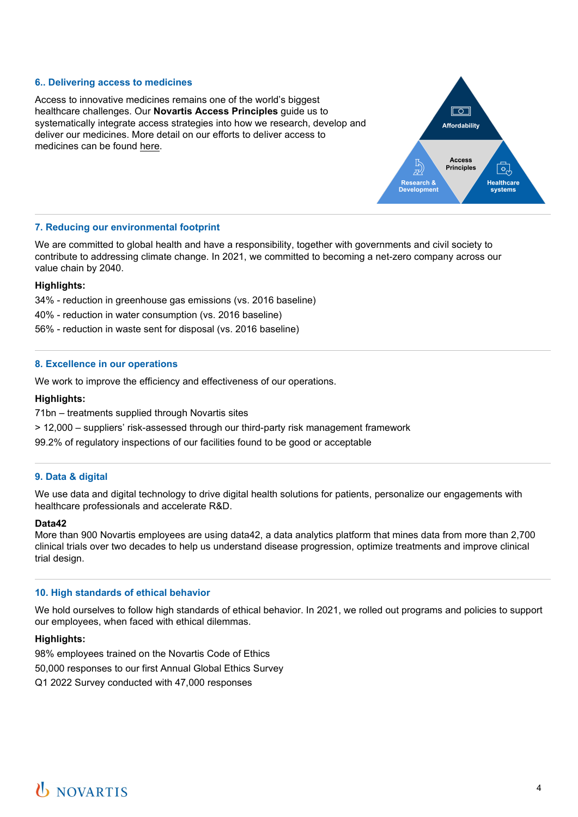#### **6.. Delivering access to medicines**



Access to innovative medicines remains one of the world's biggest healthcare challenges. Our **Novartis Access Principles** guide us to systematically integrate access strategies into how we research, develop and deliver our medicines. More detail on our efforts to deliver access to medicines can be found [here.](https://www.novartis.com/esg/access/novartis-access-principles)

#### **7. Reducing our environmental footprint**

We are committed to global health and have a responsibility, together with governments and civil society to contribute to addressing climate change. In 2021, we committed to becoming a net-zero company across our value chain by 2040.

#### **Highlights:**

34% - reduction in greenhouse gas emissions (vs. 2016 baseline)

40% - reduction in water consumption (vs. 2016 baseline)

56% - reduction in waste sent for disposal (vs. 2016 baseline)

#### **8. Excellence in our operations**

We work to improve the efficiency and effectiveness of our operations.

#### **Highlights:**

71bn – treatments supplied through Novartis sites

> 12,000 – suppliers' risk-assessed through our third-party risk management framework

99.2% of regulatory inspections of our facilities found to be good or acceptable

#### **9. Data & digital**

We use data and digital technology to drive digital health solutions for patients, personalize our engagements with healthcare professionals and accelerate R&D.

#### **Data42**

More than 900 Novartis employees are using data42, a data analytics platform that mines data from more than 2,700 clinical trials over two decades to help us understand disease progression, optimize treatments and improve clinical trial design.

#### **10. High standards of ethical behavior**

We hold ourselves to follow high standards of ethical behavior. In 2021, we rolled out programs and policies to support our employees, when faced with ethical dilemmas.

#### **Highlights:**

<span id="page-3-0"></span>98% employees trained on the Novartis Code of Ethics 50,000 responses to our first Annual Global Ethics Survey Q1 2022 Survey conducted with 47,000 responses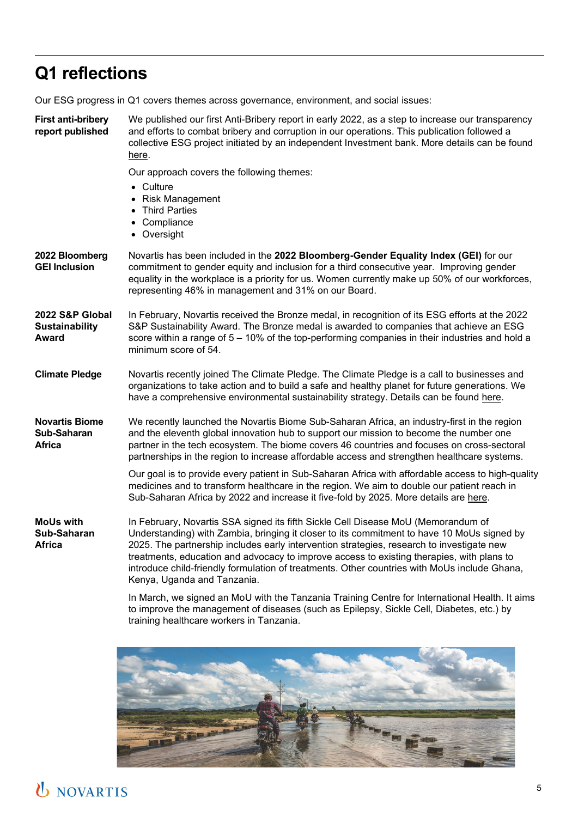# **Q1 reflections**

Our ESG progress in Q1 covers themes across governance, environment, and social issues:

**First anti-bribery report published** We published our first Anti-Bribery report in early 2022, as a step to increase our transparency and efforts to combat bribery and corruption in our operations. This publication followed a collective ESG project initiated by an independent Investment bank. More details can be found [here.](https://www.novartis.com/esg/ethics-risk-and-compliance/compliance/anti-bribery-and-anti-corruption)

Our approach covers the following themes:

- Culture
- Risk Management
- Third Parties
- Compliance
- Oversight
- **2022 Bloomberg GEI Inclusion** Novartis has been included in the **2022 Bloomberg-Gender Equality Index (GEI)** for our commitment to gender equity and inclusion for a third consecutive year. Improving gender equality in the workplace is a priority for us. Women currently make up 50% of our workforces, representing 46% in management and 31% on our Board.
- **2022 S&P Global Sustainability Award** In February, Novartis received the Bronze medal, in recognition of its ESG efforts at the 2022 S&P Sustainability Award. The Bronze medal is awarded to companies that achieve an ESG score within a range of 5 – 10% of the top-performing companies in their industries and hold a minimum score of 54.
- **Climate Pledge** Novartis recently joined The Climate Pledge. The Climate Pledge is a call to businesses and organizations to take action and to build a safe and healthy planet for future generations. We have a comprehensive environmental sustainability strategy. Details can be found [here.](https://www.theclimatepledge.com/)
- **Novartis Biome Sub-Saharan Africa** We recently launched the Novartis Biome Sub-Saharan Africa, an industry-first in the region and the eleventh global innovation hub to support our mission to become the number one partner in the tech ecosystem. The biome covers 46 countries and focuses on cross-sectoral partnerships in the region to increase affordable access and strengthen healthcare systems.

Our goal is to provide every patient in Sub-Saharan Africa with affordable access to high-quality medicines and to transform healthcare in the region. We aim to double our patient reach in Sub-Saharan Africa by 2022 and increase it five-fold by 2025. More details are [here.](https://www.biome.novartis.com/innovation-hubs/novartis-biome-sub-saharan-africa)

**MoUs with Sub-Saharan Africa** In February, Novartis SSA signed its fifth Sickle Cell Disease MoU (Memorandum of Understanding) with Zambia, bringing it closer to its commitment to have 10 MoUs signed by 2025. The partnership includes early intervention strategies, research to investigate new treatments, education and advocacy to improve access to existing therapies, with plans to introduce child-friendly formulation of treatments. Other countries with MoUs include Ghana, Kenya, Uganda and Tanzania.

> In March, we signed an MoU with the Tanzania Training Centre for International Health. It aims to improve the management of diseases (such as Epilepsy, Sickle Cell, Diabetes, etc.) by training healthcare workers in Tanzania.

<span id="page-4-0"></span>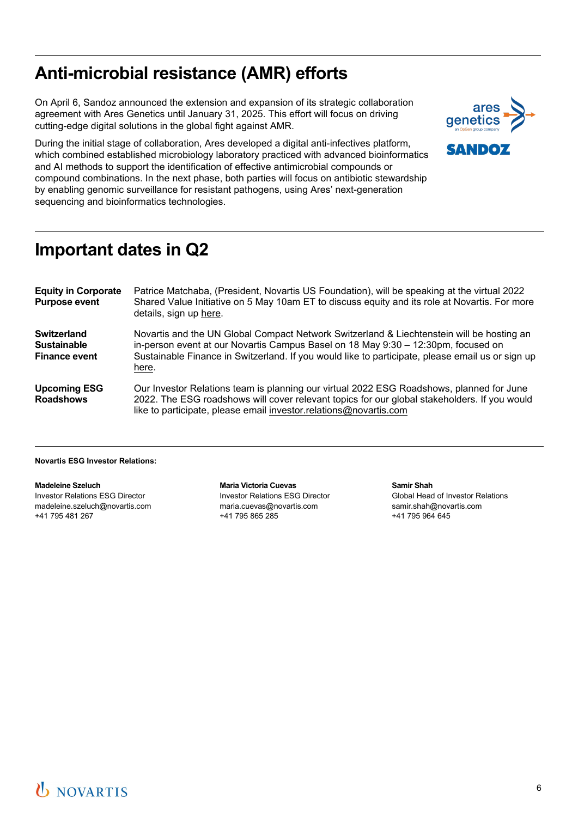## **Anti-microbial resistance (AMR) efforts**

On April 6, Sandoz announced the extension and expansion of its strategic collaboration agreement with Ares Genetics until January 31, 2025. This effort will focus on driving cutting-edge digital solutions in the global fight against AMR.





### <span id="page-5-0"></span>**Important dates in Q2**

| <b>Equity in Corporate</b><br><b>Purpose event</b>               | Patrice Matchaba, (President, Novartis US Foundation), will be speaking at the virtual 2022<br>Shared Value Initiative on 5 May 10am ET to discuss equity and its role at Novartis. For more<br>details, sign up here.                                                                      |
|------------------------------------------------------------------|---------------------------------------------------------------------------------------------------------------------------------------------------------------------------------------------------------------------------------------------------------------------------------------------|
| <b>Switzerland</b><br><b>Sustainable</b><br><b>Finance event</b> | Novartis and the UN Global Compact Network Switzerland & Liechtenstein will be hosting an<br>in-person event at our Novartis Campus Basel on 18 May 9:30 - 12:30pm, focused on<br>Sustainable Finance in Switzerland. If you would like to participate, please email us or sign up<br>here. |
| <b>Upcoming ESG</b><br><b>Roadshows</b>                          | Our Investor Relations team is planning our virtual 2022 ESG Roadshows, planned for June<br>2022. The ESG roadshows will cover relevant topics for our global stakeholders. If you would<br>like to participate, please email investor.relations@novartis.com                               |

#### **Novartis ESG Investor Relations:**

**Madeleine Szeluch**  Investor Relations ESG Director [madeleine.szeluch@novartis.com](mailto:madeleine.szeluch@novartis.com) +41 795 481 267

**Maria Victoria Cuevas**  Investor Relations ESG Director [maria.cuevas@novartis.com](mailto:maria.cuevas@novartis.com)  +41 795 865 285

**Samir Shah** Global Head of Investor Relations [samir.shah@novartis.com](mailto:samir.shah@novartis.com)  +41 795 964 645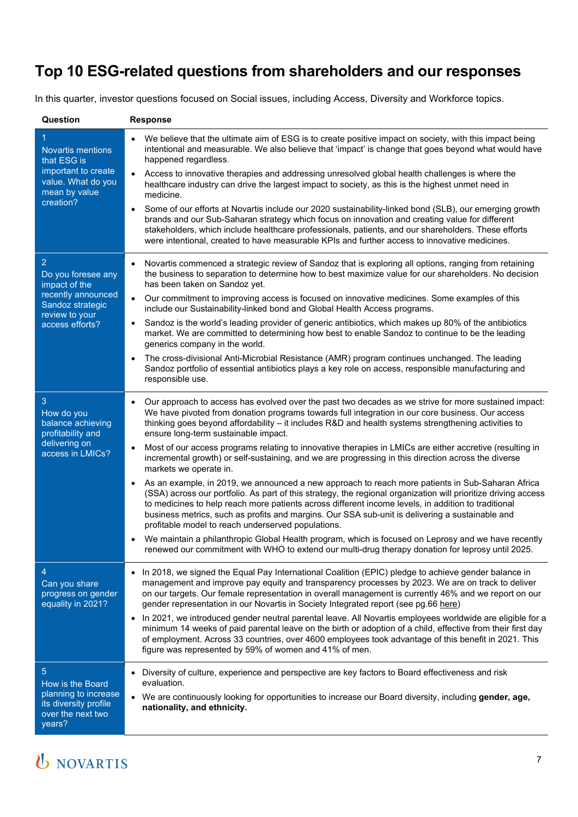### <span id="page-6-0"></span>**Top 10 ESG-related questions from shareholders and our responses**

In this quarter, investor questions focused on Social issues, including Access, Diversity and Workforce topics.

| Question                                                                                                                | <b>Response</b>                                                                                                                                                                                                                                                                                                                                                                                                                                                                    |
|-------------------------------------------------------------------------------------------------------------------------|------------------------------------------------------------------------------------------------------------------------------------------------------------------------------------------------------------------------------------------------------------------------------------------------------------------------------------------------------------------------------------------------------------------------------------------------------------------------------------|
| <b>Novartis mentions</b><br>that ESG is<br>important to create<br>value. What do you<br>mean by value<br>creation?      | We believe that the ultimate aim of ESG is to create positive impact on society, with this impact being<br>intentional and measurable. We also believe that 'impact' is change that goes beyond what would have<br>happened regardless.                                                                                                                                                                                                                                            |
|                                                                                                                         | Access to innovative therapies and addressing unresolved global health challenges is where the<br>healthcare industry can drive the largest impact to society, as this is the highest unmet need in<br>medicine.                                                                                                                                                                                                                                                                   |
|                                                                                                                         | Some of our efforts at Novartis include our 2020 sustainability-linked bond (SLB), our emerging growth<br>brands and our Sub-Saharan strategy which focus on innovation and creating value for different<br>stakeholders, which include healthcare professionals, patients, and our shareholders. These efforts<br>were intentional, created to have measurable KPIs and further access to innovative medicines.                                                                   |
| 2<br>Do you foresee any<br>impact of the<br>recently announced<br>Sandoz strategic<br>review to your<br>access efforts? | Novartis commenced a strategic review of Sandoz that is exploring all options, ranging from retaining<br>$\bullet$<br>the business to separation to determine how to best maximize value for our shareholders. No decision<br>has been taken on Sandoz yet.                                                                                                                                                                                                                        |
|                                                                                                                         | Our commitment to improving access is focused on innovative medicines. Some examples of this<br>$\bullet$<br>include our Sustainability-linked bond and Global Health Access programs.                                                                                                                                                                                                                                                                                             |
|                                                                                                                         | Sandoz is the world's leading provider of generic antibiotics, which makes up 80% of the antibiotics<br>$\bullet$<br>market. We are committed to determining how best to enable Sandoz to continue to be the leading<br>generics company in the world.                                                                                                                                                                                                                             |
|                                                                                                                         | The cross-divisional Anti-Microbial Resistance (AMR) program continues unchanged. The leading<br>Sandoz portfolio of essential antibiotics plays a key role on access, responsible manufacturing and<br>responsible use.                                                                                                                                                                                                                                                           |
| 3<br>How do you<br>balance achieving<br>profitability and<br>delivering on<br>access in LMICs?                          | Our approach to access has evolved over the past two decades as we strive for more sustained impact:<br>We have pivoted from donation programs towards full integration in our core business. Our access<br>thinking goes beyond affordability - it includes R&D and health systems strengthening activities to<br>ensure long-term sustainable impact.                                                                                                                            |
|                                                                                                                         | Most of our access programs relating to innovative therapies in LMICs are either accretive (resulting in<br>incremental growth) or self-sustaining, and we are progressing in this direction across the diverse<br>markets we operate in.                                                                                                                                                                                                                                          |
|                                                                                                                         | As an example, in 2019, we announced a new approach to reach more patients in Sub-Saharan Africa<br>(SSA) across our portfolio. As part of this strategy, the regional organization will prioritize driving access<br>to medicines to help reach more patients across different income levels, in addition to traditional<br>business metrics, such as profits and margins. Our SSA sub-unit is delivering a sustainable and<br>profitable model to reach underserved populations. |
|                                                                                                                         | We maintain a philanthropic Global Health program, which is focused on Leprosy and we have recently<br>renewed our commitment with WHO to extend our multi-drug therapy donation for leprosy until 2025.                                                                                                                                                                                                                                                                           |
| 4<br>Can you share<br>progress on gender<br>equality in 2021?                                                           | • In 2018, we signed the Equal Pay International Coalition (EPIC) pledge to achieve gender balance in<br>management and improve pay equity and transparency processes by 2023. We are on track to deliver<br>on our targets. Our female representation in overall management is currently 46% and we report on our<br>gender representation in our Novartis in Society Integrated report (see pg.66 here)                                                                          |
|                                                                                                                         | • In 2021, we introduced gender neutral parental leave. All Novartis employees worldwide are eligible for a<br>minimum 14 weeks of paid parental leave on the birth or adoption of a child, effective from their first day<br>of employment. Across 33 countries, over 4600 employees took advantage of this benefit in 2021. This<br>figure was represented by 59% of women and 41% of men.                                                                                       |
| 5<br>How is the Board<br>planning to increase<br>its diversity profile<br>over the next two<br>years?                   | • Diversity of culture, experience and perspective are key factors to Board effectiveness and risk<br>evaluation.                                                                                                                                                                                                                                                                                                                                                                  |
|                                                                                                                         | . We are continuously looking for opportunities to increase our Board diversity, including gender, age,<br>nationality, and ethnicity.                                                                                                                                                                                                                                                                                                                                             |